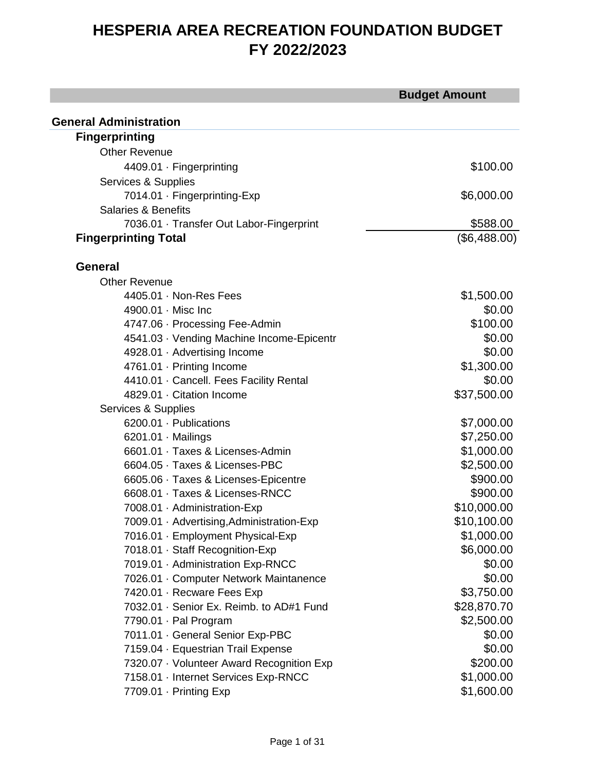|                                           | <b>Budget Amount</b> |
|-------------------------------------------|----------------------|
| <b>General Administration</b>             |                      |
| <b>Fingerprinting</b>                     |                      |
| <b>Other Revenue</b>                      |                      |
|                                           |                      |
| 4409.01 · Fingerprinting                  | \$100.00             |
| Services & Supplies                       |                      |
| 7014.01 · Fingerprinting-Exp              | \$6,000.00           |
| <b>Salaries &amp; Benefits</b>            |                      |
| 7036.01 · Transfer Out Labor-Fingerprint  | \$588.00             |
| <b>Fingerprinting Total</b>               | (\$6,488.00)         |
| <b>General</b>                            |                      |
| <b>Other Revenue</b>                      |                      |
| $4405.01 \cdot$ Non-Res Fees              | \$1,500.00           |
| 4900.01 · Misc Inc                        | \$0.00               |
| 4747.06 · Processing Fee-Admin            | \$100.00             |
| 4541.03 · Vending Machine Income-Epicentr | \$0.00               |
| 4928.01 · Advertising Income              | \$0.00               |
| 4761.01 · Printing Income                 | \$1,300.00           |
| 4410.01 · Cancell. Fees Facility Rental   | \$0.00               |
| 4829.01 · Citation Income                 | \$37,500.00          |
| Services & Supplies                       |                      |
| 6200.01 · Publications                    | \$7,000.00           |
| 6201.01 · Mailings                        | \$7,250.00           |
| 6601.01 · Taxes & Licenses-Admin          | \$1,000.00           |
| 6604.05 · Taxes & Licenses-PBC            | \$2,500.00           |
| 6605.06 · Taxes & Licenses-Epicentre      | \$900.00             |
| 6608.01 · Taxes & Licenses-RNCC           | \$900.00             |
| 7008.01 · Administration-Exp              | \$10,000.00          |
| 7009.01 · Advertising, Administration-Exp | \$10,100.00          |
| 7016.01 · Employment Physical-Exp         | \$1,000.00           |
| 7018.01 · Staff Recognition-Exp           | \$6,000.00           |
| 7019.01 · Administration Exp-RNCC         | \$0.00               |
| 7026.01 · Computer Network Maintanence    | \$0.00               |
| 7420.01 · Recware Fees Exp                | \$3,750.00           |
| 7032.01 · Senior Ex. Reimb. to AD#1 Fund  | \$28,870.70          |
| 7790.01 · Pal Program                     | \$2,500.00           |
| 7011.01 · General Senior Exp-PBC          | \$0.00               |
| 7159.04 · Equestrian Trail Expense        | \$0.00               |
| 7320.07 · Volunteer Award Recognition Exp | \$200.00             |
| 7158.01 · Internet Services Exp-RNCC      | \$1,000.00           |
| 7709.01 · Printing Exp                    | \$1,600.00           |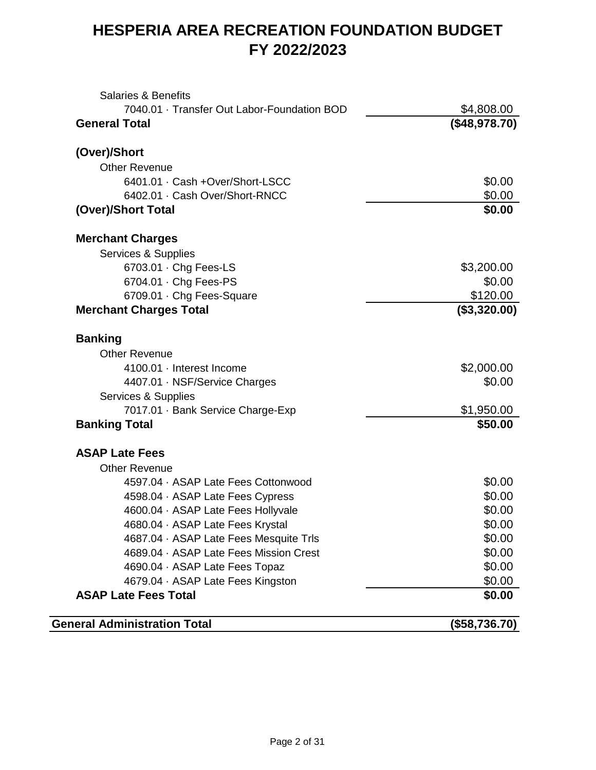| <b>Salaries &amp; Benefits</b>              |               |
|---------------------------------------------|---------------|
| 7040.01 · Transfer Out Labor-Foundation BOD | \$4,808.00    |
| <b>General Total</b>                        | (\$48,978.70) |
| (Over)/Short                                |               |
| <b>Other Revenue</b>                        |               |
| 6401.01 · Cash +Over/Short-LSCC             | \$0.00        |
| 6402.01 · Cash Over/Short-RNCC              | \$0.00        |
| (Over)/Short Total                          | \$0.00        |
| <b>Merchant Charges</b>                     |               |
| Services & Supplies                         |               |
| 6703.01 · Chg Fees-LS                       | \$3,200.00    |
| 6704.01 · Chg Fees-PS                       | \$0.00        |
| 6709.01 · Chg Fees-Square                   | \$120.00      |
| <b>Merchant Charges Total</b>               | (\$3,320.00)  |
| <b>Banking</b>                              |               |
| <b>Other Revenue</b>                        |               |
| 4100.01 · Interest Income                   | \$2,000.00    |
| 4407.01 · NSF/Service Charges               | \$0.00        |
| Services & Supplies                         |               |
| 7017.01 · Bank Service Charge-Exp           | \$1,950.00    |
| <b>Banking Total</b>                        | \$50.00       |
| <b>ASAP Late Fees</b>                       |               |
| <b>Other Revenue</b>                        |               |
| 4597.04 · ASAP Late Fees Cottonwood         | \$0.00        |
| 4598.04 · ASAP Late Fees Cypress            | \$0.00        |
| 4600.04 · ASAP Late Fees Hollyvale          | \$0.00        |
| 4680.04 · ASAP Late Fees Krystal            | \$0.00        |
| 4687.04 · ASAP Late Fees Mesquite Trls      | \$0.00        |
| 4689.04 · ASAP Late Fees Mission Crest      | \$0.00        |
| 4690.04 · ASAP Late Fees Topaz              | \$0.00        |
| 4679.04 · ASAP Late Fees Kingston           | \$0.00        |
| <b>ASAP Late Fees Total</b>                 | \$0.00        |
| <b>General Administration Total</b>         | (\$58,736.70) |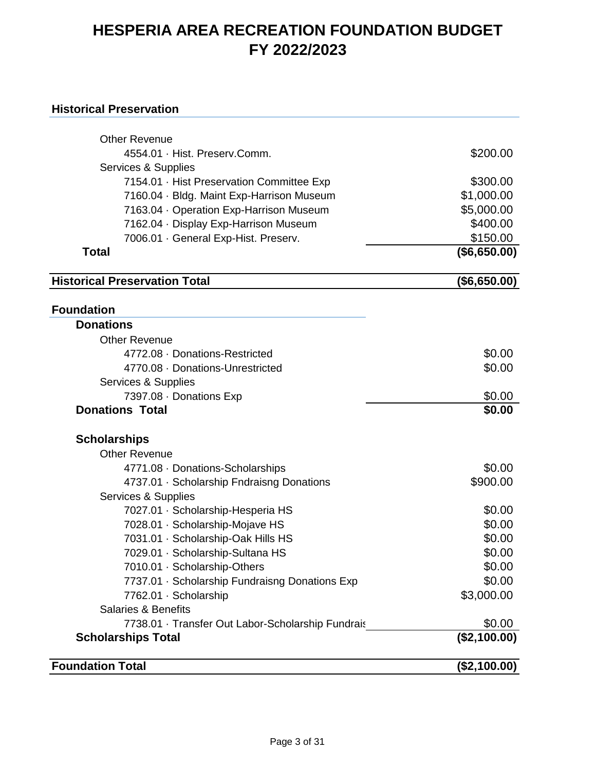#### **Historical Preservation**

| <b>Other Revenue</b>                              |              |
|---------------------------------------------------|--------------|
| 4554.01 · Hist. Preserv.Comm.                     | \$200.00     |
| Services & Supplies                               |              |
| 7154.01 · Hist Preservation Committee Exp         | \$300.00     |
| 7160.04 · Bldg. Maint Exp-Harrison Museum         | \$1,000.00   |
| 7163.04 · Operation Exp-Harrison Museum           | \$5,000.00   |
| 7162.04 · Display Exp-Harrison Museum             | \$400.00     |
| 7006.01 · General Exp-Hist. Preserv.              | \$150.00     |
| <b>Total</b>                                      | (\$6,650.00) |
| <b>Historical Preservation Total</b>              | (\$6,650.00) |
|                                                   |              |
| <b>Foundation</b><br><b>Donations</b>             |              |
| <b>Other Revenue</b>                              |              |
| 4772.08 · Donations-Restricted                    | \$0.00       |
| 4770.08 · Donations-Unrestricted                  | \$0.00       |
| Services & Supplies                               |              |
| 7397.08 · Donations Exp                           | \$0.00       |
| <b>Donations Total</b>                            | \$0.00       |
| <b>Scholarships</b>                               |              |
| <b>Other Revenue</b>                              |              |
| 4771.08 · Donations-Scholarships                  | \$0.00       |
| 4737.01 · Scholarship Fndraisng Donations         | \$900.00     |
| Services & Supplies                               |              |
| 7027.01 · Scholarship-Hesperia HS                 | \$0.00       |
| 7028.01 · Scholarship-Mojave HS                   | \$0.00       |
| 7031.01 · Scholarship-Oak Hills HS                | \$0.00       |
| 7029.01 · Scholarship-Sultana HS                  | \$0.00       |
| 7010.01 · Scholarship-Others                      | \$0.00       |
| 7737.01 · Scholarship Fundraisng Donations Exp    | \$0.00       |
| 7762.01 · Scholarship                             | \$3,000.00   |
| <b>Salaries &amp; Benefits</b>                    |              |
| 7738.01 · Transfer Out Labor-Scholarship Fundrais | \$0.00       |
| <b>Scholarships Total</b>                         | (\$2,100.00) |

**Foundation Total (\$2,100.00)**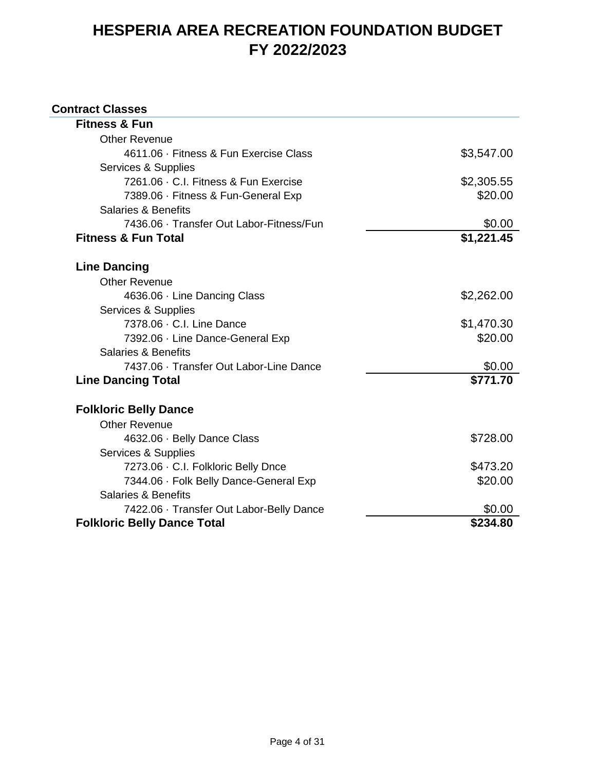#### **Contract Classes**

| <b>Fitness &amp; Fun</b>                 |            |
|------------------------------------------|------------|
| <b>Other Revenue</b>                     |            |
| 4611.06 · Fitness & Fun Exercise Class   | \$3,547.00 |
| Services & Supplies                      |            |
| 7261.06 · C.I. Fitness & Fun Exercise    | \$2,305.55 |
| 7389.06 · Fitness & Fun-General Exp      | \$20.00    |
| <b>Salaries &amp; Benefits</b>           |            |
| 7436.06 · Transfer Out Labor-Fitness/Fun | \$0.00     |
| <b>Fitness &amp; Fun Total</b>           | \$1,221.45 |
| <b>Line Dancing</b>                      |            |
| <b>Other Revenue</b>                     |            |
| 4636.06 · Line Dancing Class             | \$2,262.00 |
| Services & Supplies                      |            |
| 7378.06 · C.I. Line Dance                | \$1,470.30 |
| 7392.06 · Line Dance-General Exp         | \$20.00    |
| Salaries & Benefits                      |            |
| 7437.06 · Transfer Out Labor-Line Dance  | \$0.00     |
| <b>Line Dancing Total</b>                | \$771.70   |
| <b>Folkloric Belly Dance</b>             |            |
| <b>Other Revenue</b>                     |            |
| 4632.06 · Belly Dance Class              | \$728.00   |
| Services & Supplies                      |            |
| 7273.06 · C.I. Folkloric Belly Dnce      | \$473.20   |
| 7344.06 · Folk Belly Dance-General Exp   | \$20.00    |
| <b>Salaries &amp; Benefits</b>           |            |
| 7422.06 · Transfer Out Labor-Belly Dance | \$0.00     |
| <b>Folkloric Belly Dance Total</b>       | \$234.80   |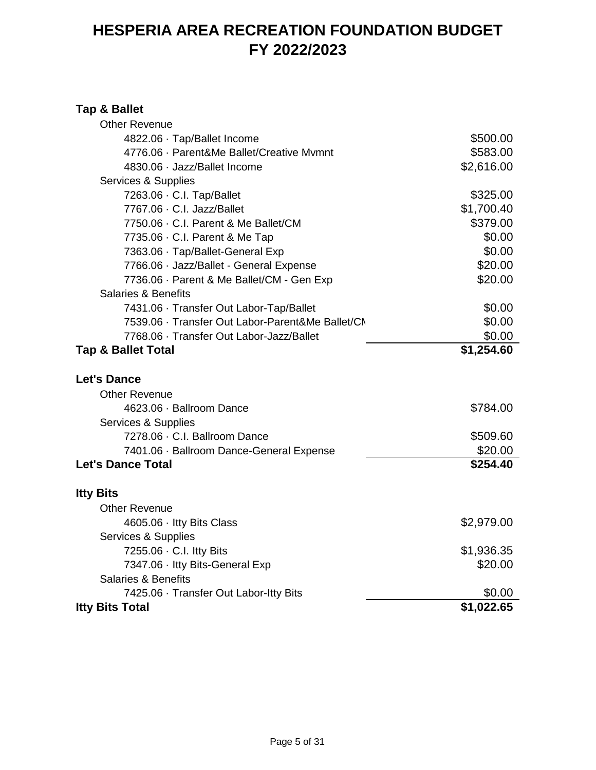#### **Tap & Ballet**

| <b>Other Revenue</b>                             |            |
|--------------------------------------------------|------------|
| 4822.06 · Tap/Ballet Income                      | \$500.00   |
| 4776.06 · Parent&Me Ballet/Creative Mvmnt        | \$583.00   |
| 4830.06 · Jazz/Ballet Income                     | \$2,616.00 |
| Services & Supplies                              |            |
| 7263.06 · C.I. Tap/Ballet                        | \$325.00   |
| 7767.06 · C.I. Jazz/Ballet                       | \$1,700.40 |
| 7750.06 · C.I. Parent & Me Ballet/CM             | \$379.00   |
| 7735.06 · C.I. Parent & Me Tap                   | \$0.00     |
| 7363.06 · Tap/Ballet-General Exp                 | \$0.00     |
| 7766.06 · Jazz/Ballet - General Expense          | \$20.00    |
| 7736.06 · Parent & Me Ballet/CM - Gen Exp        | \$20.00    |
| <b>Salaries &amp; Benefits</b>                   |            |
| 7431.06 · Transfer Out Labor-Tap/Ballet          | \$0.00     |
| 7539.06 · Transfer Out Labor-Parent&Me Ballet/CN | \$0.00     |
| 7768.06 · Transfer Out Labor-Jazz/Ballet         | \$0.00     |
| <b>Tap &amp; Ballet Total</b>                    | \$1,254.60 |
| <b>Let's Dance</b>                               |            |
| <b>Other Revenue</b>                             |            |
| 4623.06 · Ballroom Dance                         | \$784.00   |
| Services & Supplies                              |            |
| 7278.06 · C.I. Ballroom Dance                    | \$509.60   |
| 7401.06 · Ballroom Dance-General Expense         | \$20.00    |
| <b>Let's Dance Total</b>                         | \$254.40   |
|                                                  |            |
| <b>Itty Bits</b>                                 |            |
| <b>Other Revenue</b>                             |            |
| 4605.06 · Itty Bits Class                        | \$2,979.00 |
| Services & Supplies                              |            |
| 7255.06 · C.I. Itty Bits                         | \$1,936.35 |
| 7347.06 · Itty Bits-General Exp                  | \$20.00    |
| Salaries & Benefits                              |            |
| 7425.06 · Transfer Out Labor-Itty Bits           | \$0.00     |
| <b>Itty Bits Total</b>                           | \$1,022.65 |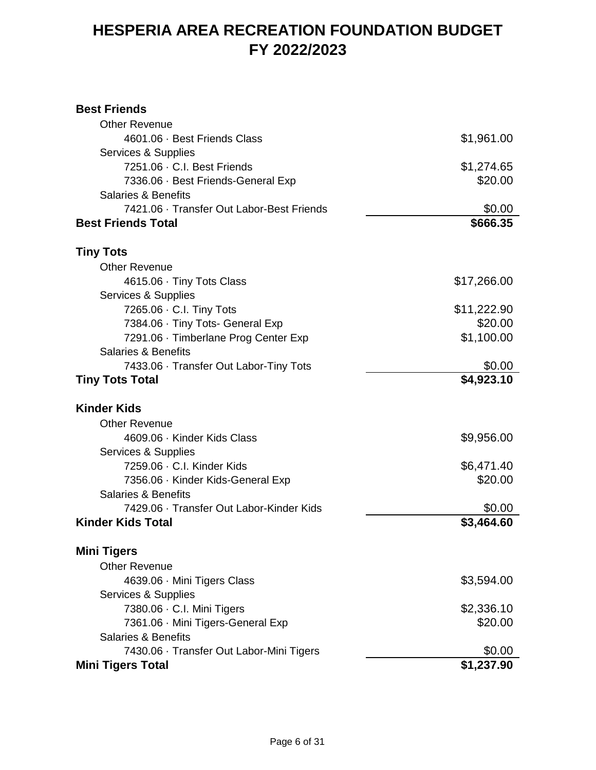#### **Best Friends**

| <b>Other Revenue</b>                      |             |
|-------------------------------------------|-------------|
| 4601.06 · Best Friends Class              | \$1,961.00  |
| Services & Supplies                       |             |
| 7251.06 · C.I. Best Friends               | \$1,274.65  |
| 7336.06 · Best Friends-General Exp        | \$20.00     |
| <b>Salaries &amp; Benefits</b>            |             |
| 7421.06 · Transfer Out Labor-Best Friends | \$0.00      |
| <b>Best Friends Total</b>                 | \$666.35    |
| Tiny Tots                                 |             |
| <b>Other Revenue</b>                      |             |
| 4615.06 · Tiny Tots Class                 | \$17,266.00 |
| Services & Supplies                       |             |
| 7265.06 · C.I. Tiny Tots                  | \$11,222.90 |
| 7384.06 · Tiny Tots- General Exp          | \$20.00     |
| 7291.06 · Timberlane Prog Center Exp      | \$1,100.00  |
| <b>Salaries &amp; Benefits</b>            |             |
| 7433.06 · Transfer Out Labor-Tiny Tots    | \$0.00      |
| <b>Tiny Tots Total</b>                    | \$4,923.10  |
| <b>Kinder Kids</b>                        |             |
| <b>Other Revenue</b>                      |             |
| 4609.06 · Kinder Kids Class               | \$9,956.00  |
| Services & Supplies                       |             |
| 7259.06 · C.I. Kinder Kids                | \$6,471.40  |
| 7356.06 · Kinder Kids-General Exp         | \$20.00     |
| <b>Salaries &amp; Benefits</b>            |             |
| 7429.06 · Transfer Out Labor-Kinder Kids  | \$0.00      |
| <b>Kinder Kids Total</b>                  | \$3,464.60  |
| <b>Mini Tigers</b>                        |             |
| <b>Other Revenue</b>                      |             |
| 4639.06 · Mini Tigers Class               | \$3,594.00  |
| Services & Supplies                       |             |
| 7380.06 · C.I. Mini Tigers                | \$2,336.10  |
| 7361.06 · Mini Tigers-General Exp         | \$20.00     |
| <b>Salaries &amp; Benefits</b>            |             |
| 7430.06 · Transfer Out Labor-Mini Tigers  | \$0.00      |
| <b>Mini Tigers Total</b>                  | \$1,237.90  |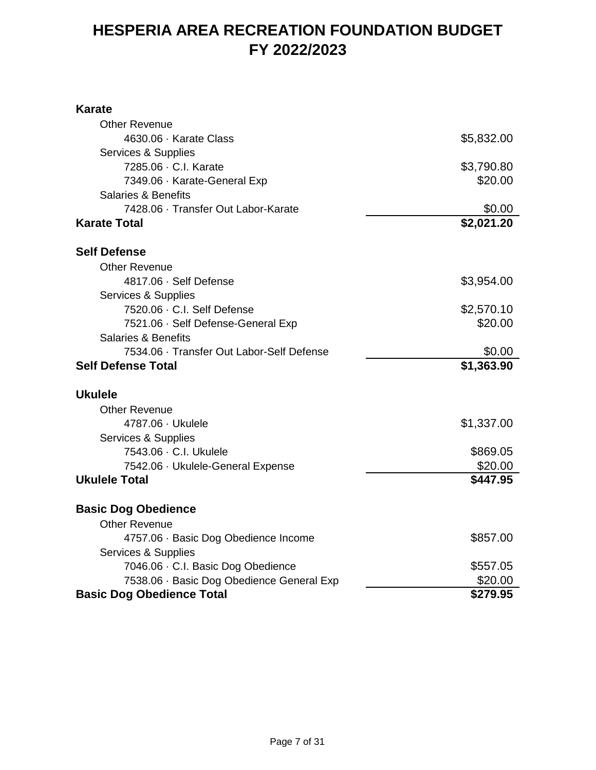#### **Karate**

| <b>Other Revenue</b>                      |            |
|-------------------------------------------|------------|
| 4630.06 · Karate Class                    | \$5,832.00 |
| Services & Supplies                       |            |
| 7285.06 · C.I. Karate                     | \$3,790.80 |
| 7349.06 · Karate-General Exp              | \$20.00    |
| <b>Salaries &amp; Benefits</b>            |            |
| 7428.06 · Transfer Out Labor-Karate       | \$0.00     |
| <b>Karate Total</b>                       | \$2,021.20 |
| <b>Self Defense</b>                       |            |
| <b>Other Revenue</b>                      |            |
| 4817.06 · Self Defense                    | \$3,954.00 |
| Services & Supplies                       |            |
| 7520.06 · C.I. Self Defense               | \$2,570.10 |
| 7521.06 · Self Defense-General Exp        | \$20.00    |
| <b>Salaries &amp; Benefits</b>            |            |
| 7534.06 · Transfer Out Labor-Self Defense | \$0.00     |
| <b>Self Defense Total</b>                 | \$1,363.90 |
| <b>Ukulele</b>                            |            |
| <b>Other Revenue</b>                      |            |
| 4787.06 · Ukulele                         | \$1,337.00 |
| Services & Supplies                       |            |
| 7543.06 · C.I. Ukulele                    | \$869.05   |
| 7542.06 · Ukulele-General Expense         | \$20.00    |
| <b>Ukulele Total</b>                      | \$447.95   |
| <b>Basic Dog Obedience</b>                |            |
| <b>Other Revenue</b>                      |            |
| 4757.06 · Basic Dog Obedience Income      | \$857.00   |
| Services & Supplies                       |            |
| 7046.06 · C.I. Basic Dog Obedience        | \$557.05   |
| 7538.06 · Basic Dog Obedience General Exp | \$20.00    |
| <b>Basic Dog Obedience Total</b>          | \$279.95   |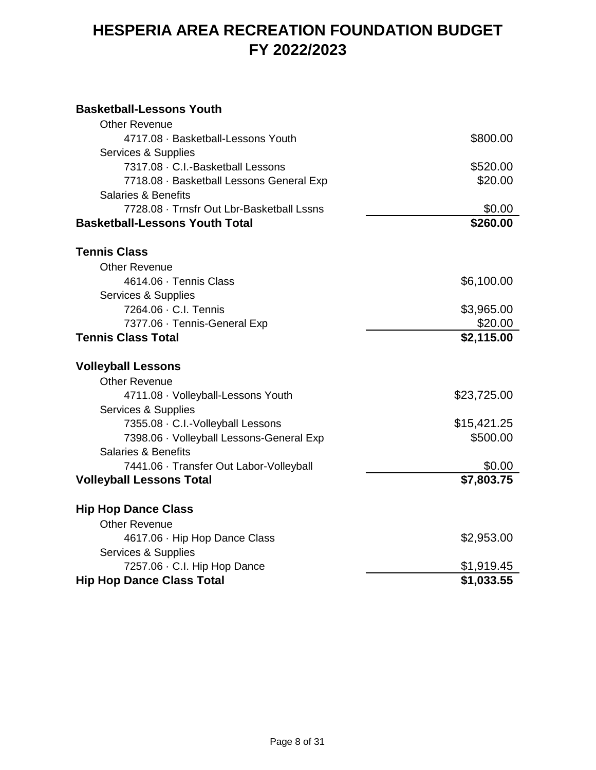#### **Basketball-Lessons Youth**

| <b>Other Revenue</b>                      |             |
|-------------------------------------------|-------------|
| 4717.08 · Basketball-Lessons Youth        | \$800.00    |
| Services & Supplies                       |             |
| 7317.08 · C.I.-Basketball Lessons         | \$520.00    |
| 7718.08 · Basketball Lessons General Exp  | \$20.00     |
| <b>Salaries &amp; Benefits</b>            |             |
| 7728.08 · Trnsfr Out Lbr-Basketball Lssns | \$0.00      |
| <b>Basketball-Lessons Youth Total</b>     | \$260.00    |
| <b>Tennis Class</b>                       |             |
| <b>Other Revenue</b>                      |             |
| 4614.06 · Tennis Class                    | \$6,100.00  |
| Services & Supplies                       |             |
| 7264.06 · C.I. Tennis                     | \$3,965.00  |
| 7377.06 · Tennis-General Exp              | \$20.00     |
| <b>Tennis Class Total</b>                 | \$2,115.00  |
| <b>Volleyball Lessons</b>                 |             |
| <b>Other Revenue</b>                      |             |
| 4711.08 · Volleyball-Lessons Youth        | \$23,725.00 |
| Services & Supplies                       |             |
| 7355.08 · C.I.-Volleyball Lessons         | \$15,421.25 |
| 7398.06 · Volleyball Lessons-General Exp  | \$500.00    |
| <b>Salaries &amp; Benefits</b>            |             |
| 7441.06 · Transfer Out Labor-Volleyball   | \$0.00      |
| <b>Volleyball Lessons Total</b>           | \$7,803.75  |
| <b>Hip Hop Dance Class</b>                |             |
| <b>Other Revenue</b>                      |             |
| 4617.06 · Hip Hop Dance Class             | \$2,953.00  |
| Services & Supplies                       |             |
| 7257.06 · C.I. Hip Hop Dance              | \$1,919.45  |
| <b>Hip Hop Dance Class Total</b>          | \$1,033.55  |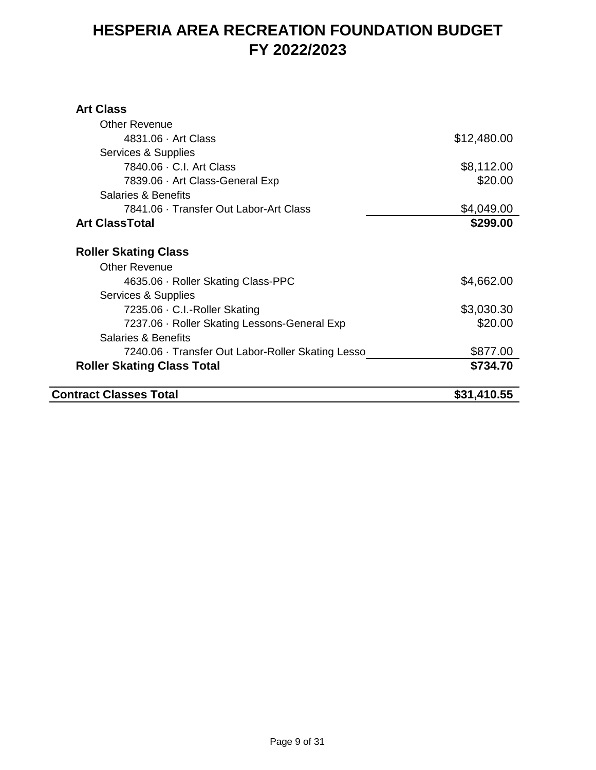#### **Art Class**

| <b>Contract Classes Total</b>                     | \$31,410.55 |
|---------------------------------------------------|-------------|
| <b>Roller Skating Class Total</b>                 | \$734.70    |
| 7240.06 · Transfer Out Labor-Roller Skating Lesso | \$877.00    |
| Salaries & Benefits                               |             |
| 7237.06 · Roller Skating Lessons-General Exp      | \$20.00     |
| 7235.06 · C.I.-Roller Skating                     | \$3,030.30  |
| Services & Supplies                               |             |
| 4635.06 · Roller Skating Class-PPC                | \$4,662.00  |
| <b>Other Revenue</b>                              |             |
| <b>Roller Skating Class</b>                       |             |
| <b>Art ClassTotal</b>                             | \$299.00    |
| 7841.06 · Transfer Out Labor-Art Class            | \$4,049.00  |
| Salaries & Benefits                               |             |
| 7839.06 · Art Class-General Exp                   | \$20.00     |
| 7840.06 · C.I. Art Class                          | \$8,112.00  |
| Services & Supplies                               |             |
| 4831.06 · Art Class                               | \$12,480.00 |
| <b>Other Revenue</b>                              |             |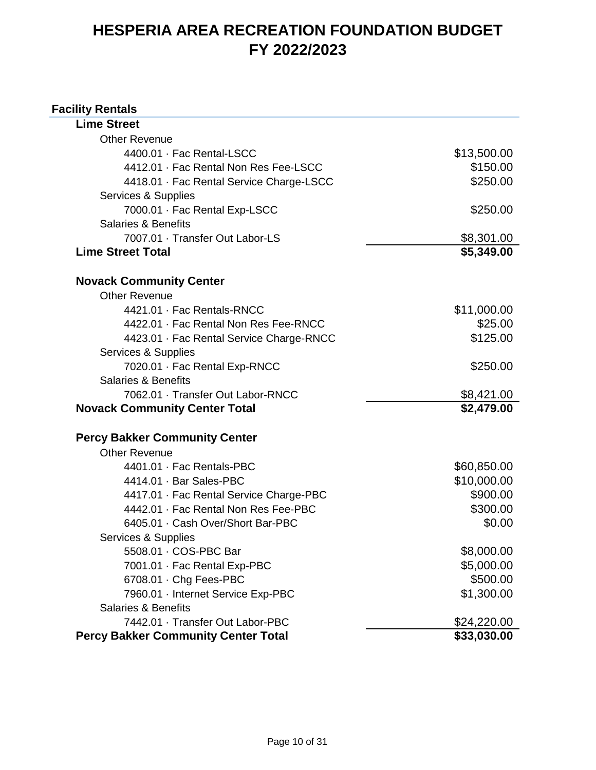#### **Facility Rentals**

| <b>Lime Street</b>                         |             |
|--------------------------------------------|-------------|
| <b>Other Revenue</b>                       |             |
| 4400.01 · Fac Rental-LSCC                  | \$13,500.00 |
| 4412.01 · Fac Rental Non Res Fee-LSCC      | \$150.00    |
| 4418.01 · Fac Rental Service Charge-LSCC   | \$250.00    |
| Services & Supplies                        |             |
| 7000.01 · Fac Rental Exp-LSCC              | \$250.00    |
| Salaries & Benefits                        |             |
| 7007.01 · Transfer Out Labor-LS            | \$8,301.00  |
| <b>Lime Street Total</b>                   | \$5,349.00  |
| <b>Novack Community Center</b>             |             |
| <b>Other Revenue</b>                       |             |
| 4421.01 · Fac Rentals-RNCC                 | \$11,000.00 |
| 4422.01 · Fac Rental Non Res Fee-RNCC      | \$25.00     |
| 4423.01 · Fac Rental Service Charge-RNCC   | \$125.00    |
| Services & Supplies                        |             |
| 7020.01 · Fac Rental Exp-RNCC              | \$250.00    |
| <b>Salaries &amp; Benefits</b>             |             |
| 7062.01 · Transfer Out Labor-RNCC          | \$8,421.00  |
| <b>Novack Community Center Total</b>       | \$2,479.00  |
| <b>Percy Bakker Community Center</b>       |             |
| <b>Other Revenue</b>                       |             |
| 4401.01 · Fac Rentals-PBC                  | \$60,850.00 |
| 4414.01 · Bar Sales-PBC                    | \$10,000.00 |
| 4417.01 · Fac Rental Service Charge-PBC    | \$900.00    |
| 4442.01 · Fac Rental Non Res Fee-PBC       | \$300.00    |
| 6405.01 · Cash Over/Short Bar-PBC          | \$0.00      |
| Services & Supplies                        |             |
| 5508.01 · COS-PBC Bar                      | \$8,000.00  |
| 7001.01 · Fac Rental Exp-PBC               | \$5,000.00  |
| 6708.01 · Chg Fees-PBC                     | \$500.00    |
| 7960.01 · Internet Service Exp-PBC         | \$1,300.00  |
| <b>Salaries &amp; Benefits</b>             |             |
| 7442.01 · Transfer Out Labor-PBC           | \$24,220.00 |
| <b>Percy Bakker Community Center Total</b> | \$33,030.00 |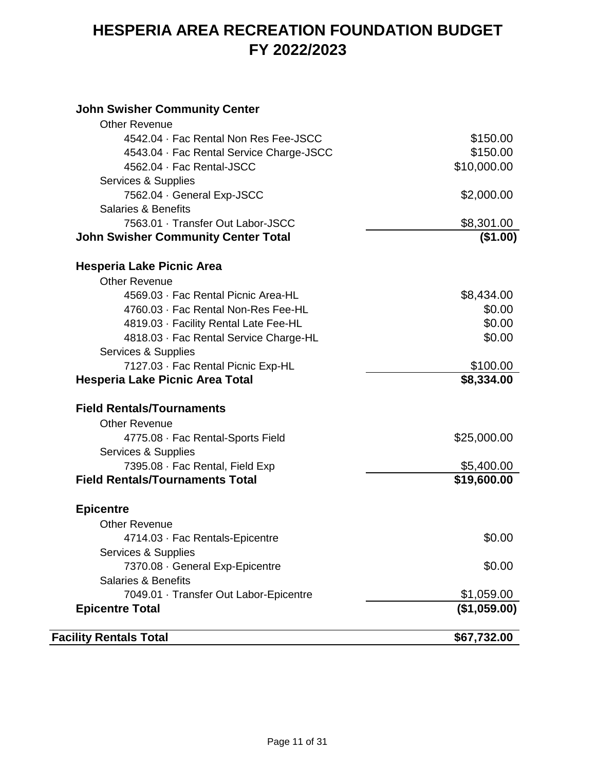#### **John Swisher Community Center**

| <b>Facility Rentals Total</b>                                 | \$67,732.00      |
|---------------------------------------------------------------|------------------|
| <b>Epicentre Total</b>                                        | (\$1,059.00)     |
| 7049.01 · Transfer Out Labor-Epicentre                        | \$1,059.00       |
| <b>Salaries &amp; Benefits</b>                                |                  |
| 7370.08 · General Exp-Epicentre                               | \$0.00           |
| Services & Supplies                                           |                  |
| 4714.03 · Fac Rentals-Epicentre                               | \$0.00           |
| <b>Other Revenue</b>                                          |                  |
| <b>Epicentre</b>                                              |                  |
| <b>Field Rentals/Tournaments Total</b>                        | \$19,600.00      |
| 7395.08 · Fac Rental, Field Exp                               | \$5,400.00       |
| Services & Supplies                                           |                  |
| 4775.08 · Fac Rental-Sports Field                             | \$25,000.00      |
| <b>Other Revenue</b>                                          |                  |
| <b>Field Rentals/Tournaments</b>                              |                  |
|                                                               |                  |
| <b>Hesperia Lake Picnic Area Total</b>                        | \$8,334.00       |
| 7127.03 · Fac Rental Picnic Exp-HL                            | \$100.00         |
| 4818.03 · Fac Rental Service Charge-HL<br>Services & Supplies |                  |
| 4819.03 · Facility Rental Late Fee-HL                         | \$0.00<br>\$0.00 |
| 4760.03 · Fac Rental Non-Res Fee-HL                           | \$0.00           |
| 4569.03 · Fac Rental Picnic Area-HL                           | \$8,434.00       |
| <b>Other Revenue</b>                                          |                  |
| Hesperia Lake Picnic Area                                     |                  |
|                                                               |                  |
| <b>John Swisher Community Center Total</b>                    | (\$1.00)         |
| 7563.01 · Transfer Out Labor-JSCC                             | \$8,301.00       |
| <b>Salaries &amp; Benefits</b>                                |                  |
| 7562.04 · General Exp-JSCC                                    | \$2,000.00       |
| Services & Supplies                                           |                  |
| 4562.04 · Fac Rental-JSCC                                     | \$10,000.00      |
| 4543.04 · Fac Rental Service Charge-JSCC                      | \$150.00         |
| 4542.04 · Fac Rental Non Res Fee-JSCC                         | \$150.00         |
| <b>Other Revenue</b>                                          |                  |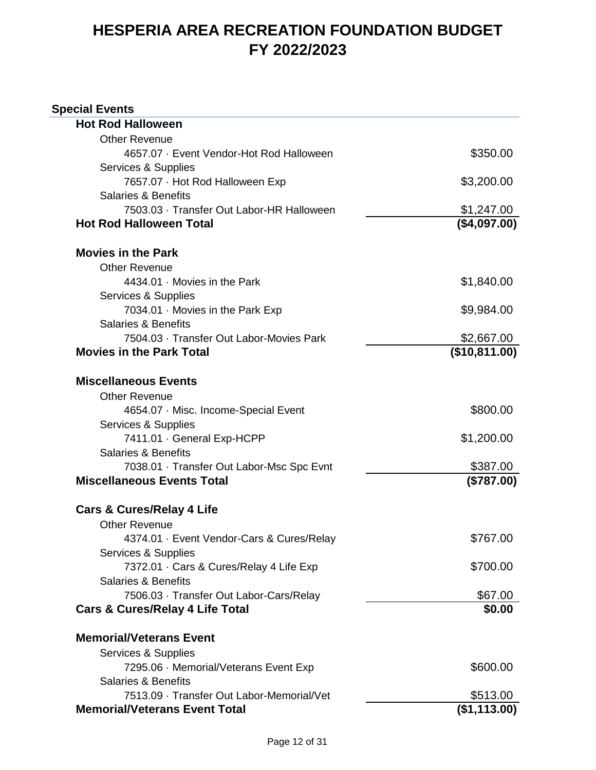| <b>Special Events</b>                      |               |
|--------------------------------------------|---------------|
| <b>Hot Rod Halloween</b>                   |               |
| <b>Other Revenue</b>                       |               |
| 4657.07 · Event Vendor-Hot Rod Halloween   | \$350.00      |
| Services & Supplies                        |               |
| 7657.07 · Hot Rod Halloween Exp            | \$3,200.00    |
| <b>Salaries &amp; Benefits</b>             |               |
| 7503.03 · Transfer Out Labor-HR Halloween  | \$1,247.00    |
| <b>Hot Rod Halloween Total</b>             | (\$4,097.00)  |
| <b>Movies in the Park</b>                  |               |
| <b>Other Revenue</b>                       |               |
| 4434.01 · Movies in the Park               | \$1,840.00    |
| Services & Supplies                        |               |
| 7034.01 · Movies in the Park Exp           | \$9,984.00    |
| <b>Salaries &amp; Benefits</b>             |               |
| 7504.03 · Transfer Out Labor-Movies Park   | \$2,667.00    |
| <b>Movies in the Park Total</b>            | (\$10,811.00) |
| <b>Miscellaneous Events</b>                |               |
| <b>Other Revenue</b>                       |               |
| 4654.07 · Misc. Income-Special Event       | \$800.00      |
| Services & Supplies                        |               |
| 7411.01 · General Exp-HCPP                 | \$1,200.00    |
| <b>Salaries &amp; Benefits</b>             |               |
| 7038.01 · Transfer Out Labor-Msc Spc Evnt  | \$387.00      |
| <b>Miscellaneous Events Total</b>          | (\$787.00)    |
| <b>Cars &amp; Cures/Relay 4 Life</b>       |               |
| <b>Other Revenue</b>                       |               |
| 4374.01 · Event Vendor-Cars & Cures/Relay  | \$767.00      |
| Services & Supplies                        |               |
| 7372.01 · Cars & Cures/Relay 4 Life Exp    | \$700.00      |
| <b>Salaries &amp; Benefits</b>             |               |
| 7506.03 · Transfer Out Labor-Cars/Relay    | \$67.00       |
| <b>Cars &amp; Cures/Relay 4 Life Total</b> | \$0.00        |
| <b>Memorial/Veterans Event</b>             |               |
| Services & Supplies                        |               |
| 7295.06 · Memorial/Veterans Event Exp      | \$600.00      |
| <b>Salaries &amp; Benefits</b>             |               |
| 7513.09 · Transfer Out Labor-Memorial/Vet  | \$513.00      |
| <b>Memorial/Veterans Event Total</b>       | (\$1,113.00)  |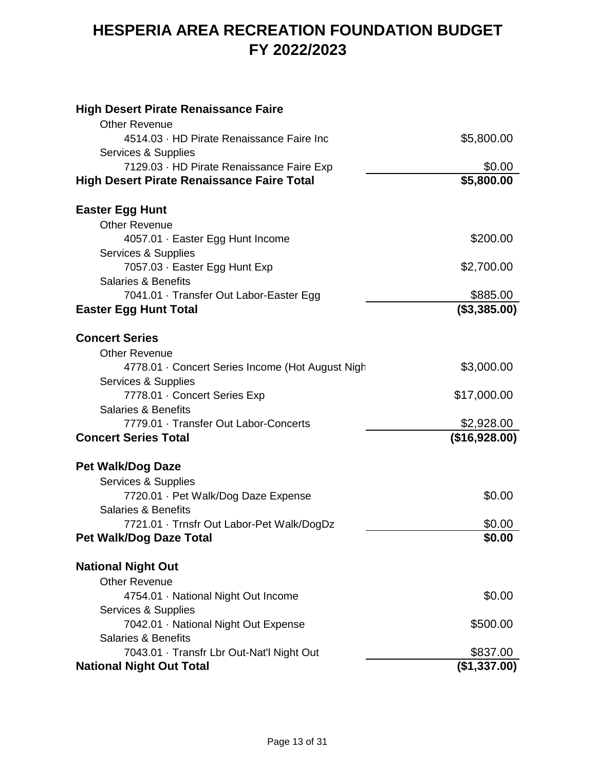| <b>High Desert Pirate Renaissance Faire</b>                                                    |                      |
|------------------------------------------------------------------------------------------------|----------------------|
| <b>Other Revenue</b>                                                                           |                      |
| 4514.03 · HD Pirate Renaissance Faire Inc                                                      | \$5,800.00           |
| Services & Supplies                                                                            |                      |
| 7129.03 · HD Pirate Renaissance Faire Exp<br><b>High Desert Pirate Renaissance Faire Total</b> | \$0.00<br>\$5,800.00 |
|                                                                                                |                      |
| <b>Easter Egg Hunt</b>                                                                         |                      |
| <b>Other Revenue</b>                                                                           |                      |
| 4057.01 · Easter Egg Hunt Income                                                               | \$200.00             |
| Services & Supplies                                                                            |                      |
| 7057.03 · Easter Egg Hunt Exp                                                                  | \$2,700.00           |
| <b>Salaries &amp; Benefits</b>                                                                 |                      |
| 7041.01 · Transfer Out Labor-Easter Egg                                                        | \$885.00             |
| <b>Easter Egg Hunt Total</b>                                                                   | (\$3,385.00)         |
| <b>Concert Series</b>                                                                          |                      |
|                                                                                                |                      |
| <b>Other Revenue</b>                                                                           | \$3,000.00           |
| 4778.01 · Concert Series Income (Hot August Nigh<br>Services & Supplies                        |                      |
| 7778.01 · Concert Series Exp                                                                   | \$17,000.00          |
| <b>Salaries &amp; Benefits</b>                                                                 |                      |
| 7779.01 · Transfer Out Labor-Concerts                                                          | \$2,928.00           |
| <b>Concert Series Total</b>                                                                    | (\$16,928.00)        |
|                                                                                                |                      |
| <b>Pet Walk/Dog Daze</b>                                                                       |                      |
| Services & Supplies                                                                            |                      |
| 7720.01 · Pet Walk/Dog Daze Expense                                                            | \$0.00               |
| <b>Salaries &amp; Benefits</b>                                                                 |                      |
| 7721.01 · Trnsfr Out Labor-Pet Walk/DogDz                                                      | \$0.00               |
| Pet Walk/Dog Daze Total                                                                        | \$0.00               |
| <b>National Night Out</b>                                                                      |                      |
| <b>Other Revenue</b>                                                                           |                      |
| 4754.01 · National Night Out Income                                                            | \$0.00               |
| Services & Supplies                                                                            |                      |
| 7042.01 · National Night Out Expense                                                           | \$500.00             |
| <b>Salaries &amp; Benefits</b>                                                                 |                      |
| 7043.01 · Transfr Lbr Out-Nat'l Night Out                                                      | \$837.00             |
| <b>National Night Out Total</b>                                                                | (\$1,337.00)         |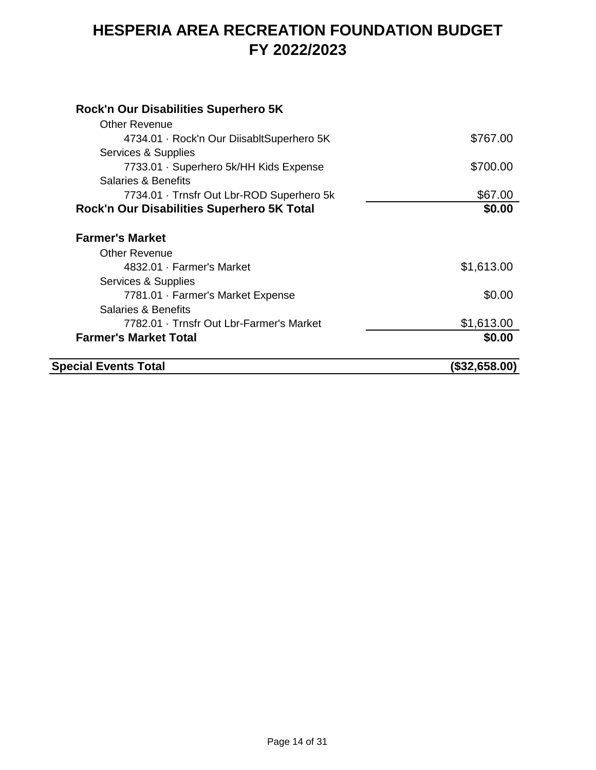| <b>Special Events Total</b>                | (\$32,658.00) |
|--------------------------------------------|---------------|
| <b>Farmer's Market Total</b>               | \$0.00        |
| 7782.01 · Trnsfr Out Lbr-Farmer's Market   | \$1,613.00    |
| <b>Salaries &amp; Benefits</b>             |               |
| 7781.01 · Farmer's Market Expense          | \$0.00        |
| Services & Supplies                        |               |
| 4832.01 · Farmer's Market                  | \$1,613.00    |
| <b>Other Revenue</b>                       |               |
| <b>Farmer's Market</b>                     |               |
| Rock'n Our Disabilities Superhero 5K Total | \$0.00        |
| 7734.01 · Trnsfr Out Lbr-ROD Superhero 5k  | \$67.00       |
| Salaries & Benefits                        |               |
| 7733.01 · Superhero 5k/HH Kids Expense     | \$700.00      |
| Services & Supplies                        |               |
| 4734.01 · Rock'n Our DiisabltSuperhero 5K  | \$767.00      |
| <b>Other Revenue</b>                       |               |
| Rock'n Our Disabilities Superhero 5K       |               |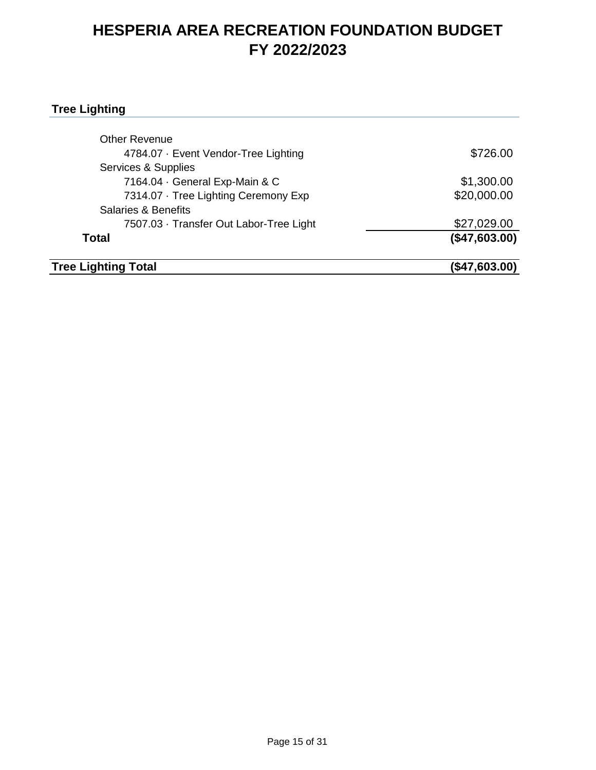#### **Tree Lighting**

| <b>Tree Lighting Total</b>              | (\$47,603.00) |
|-----------------------------------------|---------------|
| <b>Total</b>                            | (\$47,603.00) |
| 7507.03 · Transfer Out Labor-Tree Light | \$27,029.00   |
| <b>Salaries &amp; Benefits</b>          |               |
| 7314.07 · Tree Lighting Ceremony Exp    | \$20,000.00   |
| 7164.04 · General Exp-Main & C          | \$1,300.00    |
| Services & Supplies                     |               |
| 4784.07 · Event Vendor-Tree Lighting    | \$726.00      |
| <b>Other Revenue</b>                    |               |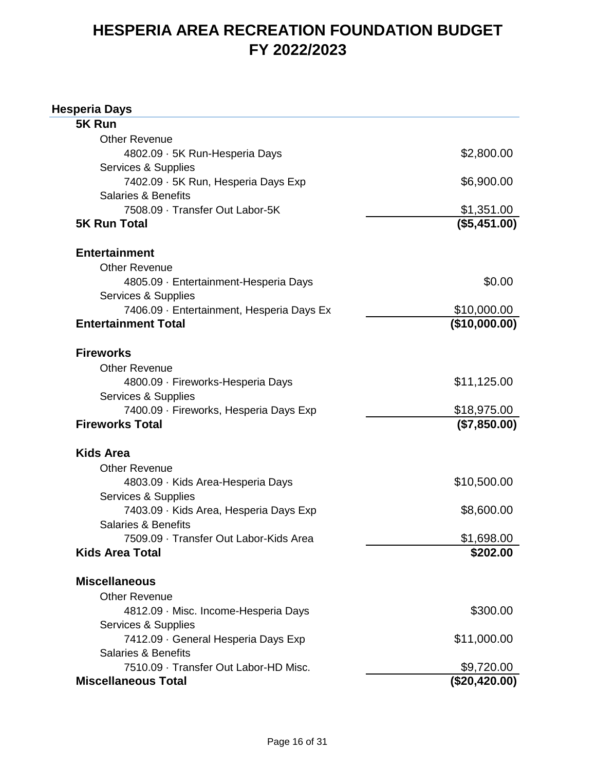#### **Hesperia Days**

| 5K Run                                    |               |
|-------------------------------------------|---------------|
| <b>Other Revenue</b>                      |               |
| 4802.09 · 5K Run-Hesperia Days            | \$2,800.00    |
| Services & Supplies                       |               |
| 7402.09 · 5K Run, Hesperia Days Exp       | \$6,900.00    |
| <b>Salaries &amp; Benefits</b>            |               |
| 7508.09 · Transfer Out Labor-5K           | \$1,351.00    |
| <b>5K Run Total</b>                       | (\$5,451.00)  |
| <b>Entertainment</b>                      |               |
| <b>Other Revenue</b>                      |               |
| 4805.09 · Entertainment-Hesperia Days     | \$0.00        |
| Services & Supplies                       |               |
| 7406.09 · Entertainment, Hesperia Days Ex | \$10,000.00   |
| <b>Entertainment Total</b>                | (\$10,000.00) |
| <b>Fireworks</b>                          |               |
| <b>Other Revenue</b>                      |               |
| 4800.09 · Fireworks-Hesperia Days         | \$11,125.00   |
| Services & Supplies                       |               |
| 7400.09 · Fireworks, Hesperia Days Exp    | \$18,975.00   |
| <b>Fireworks Total</b>                    | (\$7,850.00)  |
| <b>Kids Area</b>                          |               |
| <b>Other Revenue</b>                      |               |
| 4803.09 · Kids Area-Hesperia Days         | \$10,500.00   |
| Services & Supplies                       |               |
| 7403.09 · Kids Area, Hesperia Days Exp    | \$8,600.00    |
| <b>Salaries &amp; Benefits</b>            |               |
| 7509.09 · Transfer Out Labor-Kids Area    | \$1,698.00    |
| <b>Kids Area Total</b>                    | \$202.00      |
| <b>Miscellaneous</b>                      |               |
| <b>Other Revenue</b>                      |               |
| 4812.09 · Misc. Income-Hesperia Days      | \$300.00      |
| Services & Supplies                       |               |
| 7412.09 · General Hesperia Days Exp       | \$11,000.00   |
| <b>Salaries &amp; Benefits</b>            |               |
| 7510.09 · Transfer Out Labor-HD Misc.     | \$9,720.00    |
| <b>Miscellaneous Total</b>                | (\$20,420.00) |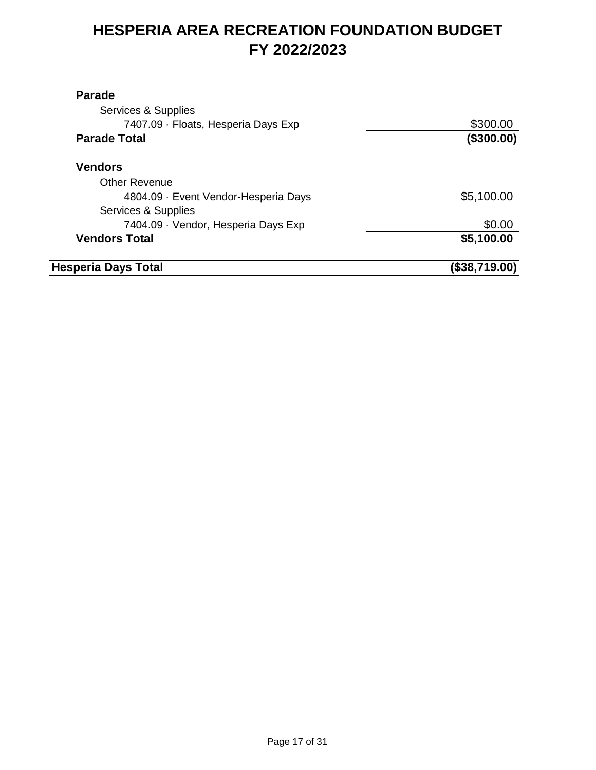| <b>Parade</b>                        |               |
|--------------------------------------|---------------|
| Services & Supplies                  |               |
| 7407.09 · Floats, Hesperia Days Exp  | \$300.00      |
| <b>Parade Total</b>                  | (\$300.00)    |
| <b>Vendors</b>                       |               |
| <b>Other Revenue</b>                 |               |
| 4804.09 · Event Vendor-Hesperia Days | \$5,100.00    |
| Services & Supplies                  |               |
| 7404.09 · Vendor, Hesperia Days Exp  | \$0.00        |
| <b>Vendors Total</b>                 | \$5,100.00    |
| <b>Hesperia Days Total</b>           | (\$38,719.00) |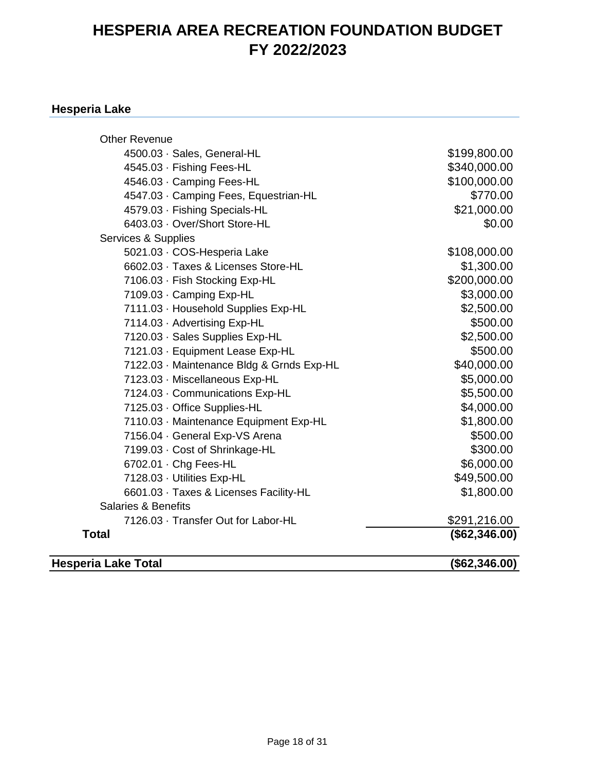#### **Hesperia Lake**

| <b>Other Revenue</b>                      |               |
|-------------------------------------------|---------------|
| 4500.03 · Sales, General-HL               | \$199,800.00  |
| 4545.03 · Fishing Fees-HL                 | \$340,000.00  |
| 4546.03 · Camping Fees-HL                 | \$100,000.00  |
| 4547.03 · Camping Fees, Equestrian-HL     | \$770.00      |
| 4579.03 · Fishing Specials-HL             | \$21,000.00   |
| 6403.03 · Over/Short Store-HL             | \$0.00        |
| Services & Supplies                       |               |
| 5021.03 · COS-Hesperia Lake               | \$108,000.00  |
| 6602.03 · Taxes & Licenses Store-HL       | \$1,300.00    |
| 7106.03 · Fish Stocking Exp-HL            | \$200,000.00  |
| 7109.03 · Camping Exp-HL                  | \$3,000.00    |
| 7111.03 · Household Supplies Exp-HL       | \$2,500.00    |
| 7114.03 · Advertising Exp-HL              | \$500.00      |
| 7120.03 · Sales Supplies Exp-HL           | \$2,500.00    |
| 7121.03 · Equipment Lease Exp-HL          | \$500.00      |
| 7122.03 · Maintenance Bldg & Grnds Exp-HL | \$40,000.00   |
| 7123.03 · Miscellaneous Exp-HL            | \$5,000.00    |
| 7124.03 · Communications Exp-HL           | \$5,500.00    |
| 7125.03 · Office Supplies-HL              | \$4,000.00    |
| 7110.03 · Maintenance Equipment Exp-HL    | \$1,800.00    |
| 7156.04 · General Exp-VS Arena            | \$500.00      |
| 7199.03 · Cost of Shrinkage-HL            | \$300.00      |
| 6702.01 · Chg Fees-HL                     | \$6,000.00    |
| 7128.03 · Utilities Exp-HL                | \$49,500.00   |
| 6601.03 · Taxes & Licenses Facility-HL    | \$1,800.00    |
| <b>Salaries &amp; Benefits</b>            |               |
| 7126.03 · Transfer Out for Labor-HL       | \$291,216.00  |
| <b>Total</b>                              | (\$62,346.00) |
| <b>Hesperia Lake Total</b>                | (\$62,346.00) |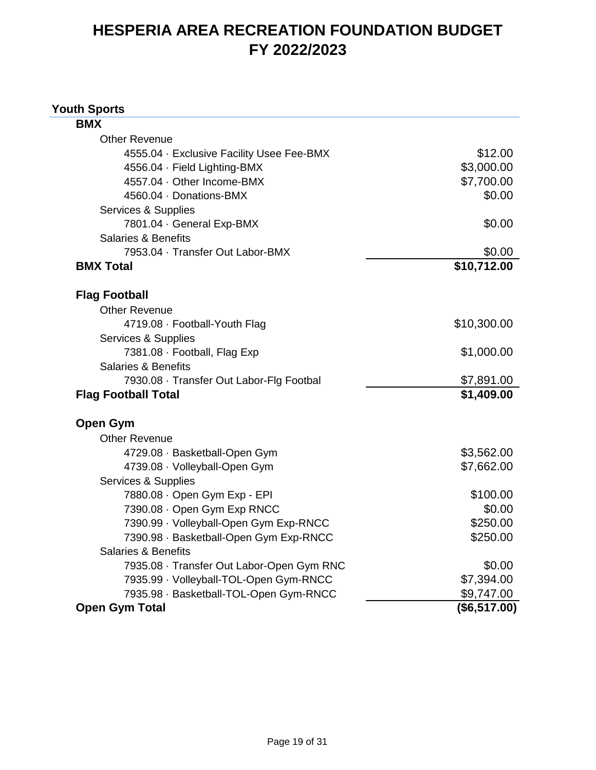#### **Youth Sports**

| <b>BMX</b>                                |              |
|-------------------------------------------|--------------|
| <b>Other Revenue</b>                      |              |
| 4555.04 · Exclusive Facility Usee Fee-BMX | \$12.00      |
| 4556.04 · Field Lighting-BMX              | \$3,000.00   |
| 4557.04 · Other Income-BMX                | \$7,700.00   |
| 4560.04 · Donations-BMX                   | \$0.00       |
| Services & Supplies                       |              |
| 7801.04 · General Exp-BMX                 | \$0.00       |
| <b>Salaries &amp; Benefits</b>            |              |
| 7953.04 · Transfer Out Labor-BMX          | \$0.00       |
| <b>BMX Total</b>                          | \$10,712.00  |
| <b>Flag Football</b>                      |              |
| <b>Other Revenue</b>                      |              |
| 4719.08 · Football-Youth Flag             | \$10,300.00  |
| Services & Supplies                       |              |
| 7381.08 · Football, Flag Exp              | \$1,000.00   |
| <b>Salaries &amp; Benefits</b>            |              |
| 7930.08 · Transfer Out Labor-Flg Footbal  | \$7,891.00   |
| <b>Flag Football Total</b>                | \$1,409.00   |
| <b>Open Gym</b>                           |              |
| <b>Other Revenue</b>                      |              |
| 4729.08 · Basketball-Open Gym             | \$3,562.00   |
| 4739.08 · Volleyball-Open Gym             | \$7,662.00   |
| Services & Supplies                       |              |
| 7880.08 · Open Gym Exp - EPI              | \$100.00     |
| 7390.08 · Open Gym Exp RNCC               | \$0.00       |
| 7390.99 · Volleyball-Open Gym Exp-RNCC    | \$250.00     |
| 7390.98 · Basketball-Open Gym Exp-RNCC    | \$250.00     |
| <b>Salaries &amp; Benefits</b>            |              |
| 7935.08 · Transfer Out Labor-Open Gym RNC | \$0.00       |
| 7935.99 · Volleyball-TOL-Open Gym-RNCC    | \$7,394.00   |
| 7935.98 · Basketball-TOL-Open Gym-RNCC    | \$9,747.00   |
| <b>Open Gym Total</b>                     | (\$6,517.00) |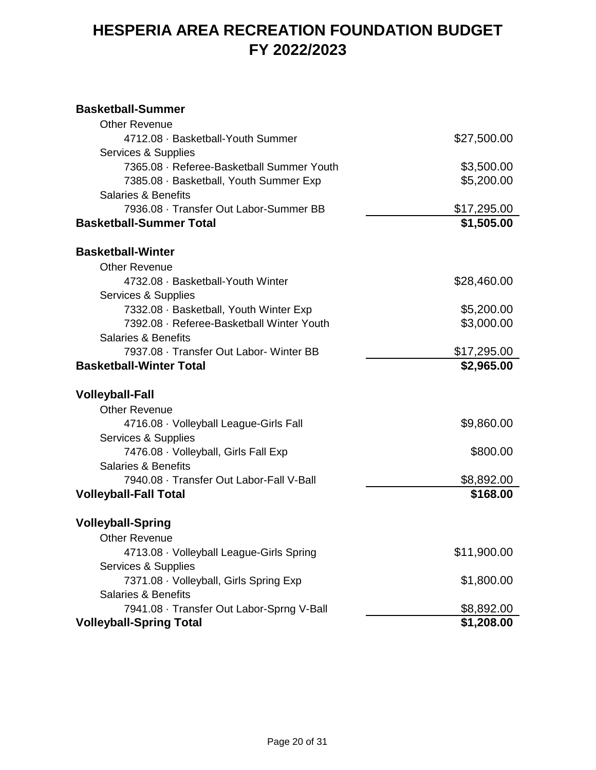#### **Basketball-Summer**

| <b>Other Revenue</b>                      |             |
|-------------------------------------------|-------------|
| 4712.08 · Basketball-Youth Summer         | \$27,500.00 |
| Services & Supplies                       |             |
| 7365.08 · Referee-Basketball Summer Youth | \$3,500.00  |
| 7385.08 · Basketball, Youth Summer Exp    | \$5,200.00  |
| <b>Salaries &amp; Benefits</b>            |             |
| 7936.08 · Transfer Out Labor-Summer BB    | \$17,295.00 |
| <b>Basketball-Summer Total</b>            | \$1,505.00  |
| <b>Basketball-Winter</b>                  |             |
| <b>Other Revenue</b>                      |             |
| 4732.08 · Basketball-Youth Winter         | \$28,460.00 |
| Services & Supplies                       |             |
| 7332.08 · Basketball, Youth Winter Exp    | \$5,200.00  |
| 7392.08 · Referee-Basketball Winter Youth | \$3,000.00  |
| <b>Salaries &amp; Benefits</b>            |             |
| 7937.08 · Transfer Out Labor- Winter BB   | \$17,295.00 |
| <b>Basketball-Winter Total</b>            | \$2,965.00  |
| <b>Volleyball-Fall</b>                    |             |
| <b>Other Revenue</b>                      |             |
| 4716.08 · Volleyball League-Girls Fall    | \$9,860.00  |
| Services & Supplies                       |             |
| 7476.08 · Volleyball, Girls Fall Exp      | \$800.00    |
| <b>Salaries &amp; Benefits</b>            |             |
| 7940.08 · Transfer Out Labor-Fall V-Ball  | \$8,892.00  |
| <b>Volleyball-Fall Total</b>              | \$168.00    |
| <b>Volleyball-Spring</b>                  |             |
| <b>Other Revenue</b>                      |             |
| 4713.08 · Volleyball League-Girls Spring  | \$11,900.00 |
| Services & Supplies                       |             |
| 7371.08 · Volleyball, Girls Spring Exp    | \$1,800.00  |
| <b>Salaries &amp; Benefits</b>            |             |
| 7941.08 · Transfer Out Labor-Sprng V-Ball | \$8,892.00  |
| <b>Volleyball-Spring Total</b>            | \$1,208.00  |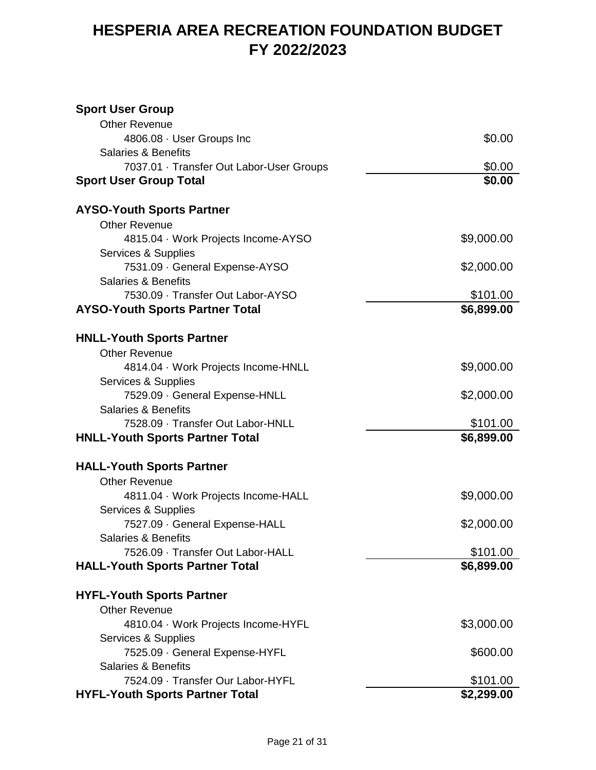#### **Sport User Group**

| <b>Other Revenue</b>                     |            |
|------------------------------------------|------------|
| 4806.08 · User Groups Inc                | \$0.00     |
| <b>Salaries &amp; Benefits</b>           |            |
| 7037.01 · Transfer Out Labor-User Groups | \$0.00     |
| <b>Sport User Group Total</b>            | \$0.00     |
|                                          |            |
| <b>AYSO-Youth Sports Partner</b>         |            |
| <b>Other Revenue</b>                     |            |
| 4815.04 · Work Projects Income-AYSO      | \$9,000.00 |
| Services & Supplies                      |            |
| 7531.09 · General Expense-AYSO           | \$2,000.00 |
| <b>Salaries &amp; Benefits</b>           |            |
| 7530.09 · Transfer Out Labor-AYSO        | \$101.00   |
| <b>AYSO-Youth Sports Partner Total</b>   | \$6,899.00 |
|                                          |            |
| <b>HNLL-Youth Sports Partner</b>         |            |
| <b>Other Revenue</b>                     |            |
| 4814.04 Work Projects Income-HNLL        | \$9,000.00 |
| Services & Supplies                      |            |
| 7529.09 · General Expense-HNLL           | \$2,000.00 |
| <b>Salaries &amp; Benefits</b>           |            |
| 7528.09 · Transfer Out Labor-HNLL        | \$101.00   |
| <b>HNLL-Youth Sports Partner Total</b>   | \$6,899.00 |
| <b>HALL-Youth Sports Partner</b>         |            |
| <b>Other Revenue</b>                     |            |
| 4811.04 · Work Projects Income-HALL      | \$9,000.00 |
| Services & Supplies                      |            |
| 7527.09 · General Expense-HALL           | \$2,000.00 |
| <b>Salaries &amp; Benefits</b>           |            |
| 7526.09 · Transfer Out Labor-HALL        | \$101.00   |
| <b>HALL-Youth Sports Partner Total</b>   | \$6,899.00 |
|                                          |            |
| <b>HYFL-Youth Sports Partner</b>         |            |
| <b>Other Revenue</b>                     |            |
| 4810.04 · Work Projects Income-HYFL      | \$3,000.00 |
| Services & Supplies                      |            |
| 7525.09 · General Expense-HYFL           | \$600.00   |
| <b>Salaries &amp; Benefits</b>           |            |
| 7524.09 · Transfer Our Labor-HYFL        | \$101.00   |
| <b>HYFL-Youth Sports Partner Total</b>   | \$2,299.00 |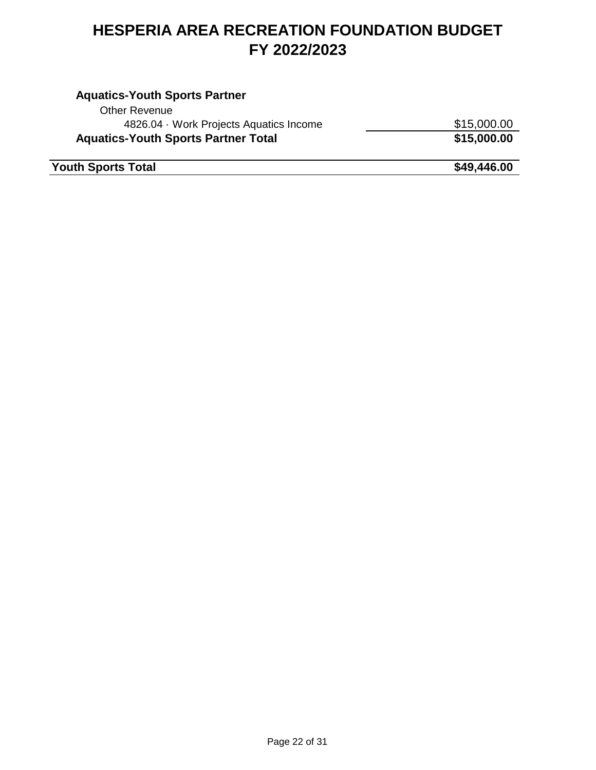#### **Aquatics-Youth Sports Partner** Other Revenue 4826.04 · Work Projects Aquatics Income  $$15,000.00$ Aquatics-Youth Sports Partner Total **\$15,000.00 Fouth Sports Total 349,446.00**

Page 22 of 31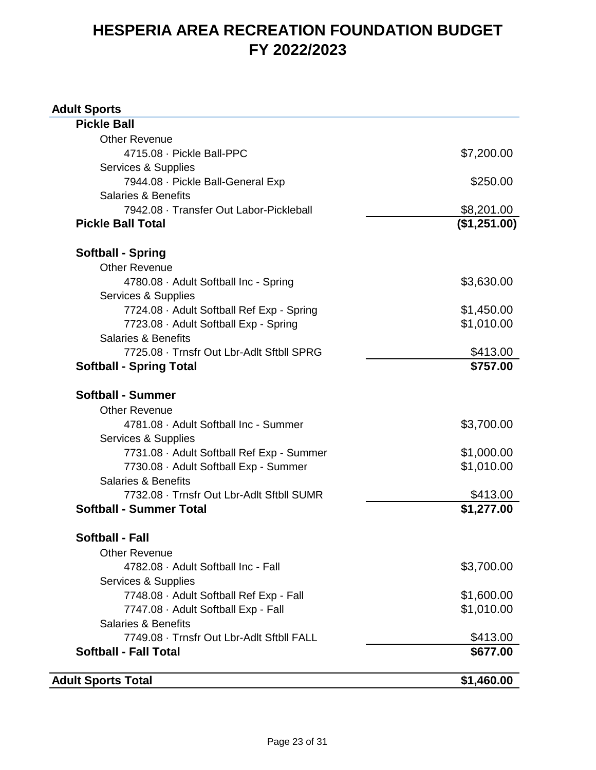#### **Adult Sports**

| <b>Adult Sports Total</b>                                                   | \$1,460.00                 |
|-----------------------------------------------------------------------------|----------------------------|
| <b>Softball - Fall Total</b>                                                | \$677.00                   |
| 7749.08 · Trnsfr Out Lbr-Adlt Sftbll FALL                                   | \$413.00                   |
| <b>Salaries &amp; Benefits</b>                                              |                            |
| 7747.08 · Adult Softball Exp - Fall                                         | \$1,010.00                 |
| 7748.08 · Adult Softball Ref Exp - Fall                                     | \$1,600.00                 |
| Services & Supplies                                                         |                            |
| 4782.08 · Adult Softball Inc - Fall                                         | \$3,700.00                 |
| <b>Other Revenue</b>                                                        |                            |
| Softball - Fall                                                             |                            |
|                                                                             |                            |
| 7732.08 · Trnsfr Out Lbr-Adlt Sftbll SUMR<br><b>Softball - Summer Total</b> | \$413.00<br>\$1,277.00     |
| <b>Salaries &amp; Benefits</b>                                              |                            |
| 7730.08 · Adult Softball Exp - Summer                                       | \$1,010.00                 |
| 7731.08 · Adult Softball Ref Exp - Summer                                   | \$1,000.00                 |
| Services & Supplies                                                         |                            |
| 4781.08 · Adult Softball Inc - Summer                                       | \$3,700.00                 |
| <b>Other Revenue</b>                                                        |                            |
| <b>Softball - Summer</b>                                                    |                            |
|                                                                             |                            |
| 7725.08 · Trnsfr Out Lbr-Adlt Sftbll SPRG<br><b>Softball - Spring Total</b> | \$413.00<br>\$757.00       |
| Salaries & Benefits                                                         |                            |
| 7723.08 · Adult Softball Exp - Spring                                       | \$1,010.00                 |
| 7724.08 · Adult Softball Ref Exp - Spring                                   | \$1,450.00                 |
| Services & Supplies                                                         |                            |
| 4780.08 · Adult Softball Inc - Spring                                       | \$3,630.00                 |
| <b>Other Revenue</b>                                                        |                            |
| <b>Softball - Spring</b>                                                    |                            |
|                                                                             |                            |
| 7942.08 · Transfer Out Labor-Pickleball<br><b>Pickle Ball Total</b>         | \$8,201.00<br>(\$1,251.00) |
| <b>Salaries &amp; Benefits</b>                                              |                            |
| 7944.08 · Pickle Ball-General Exp                                           | \$250.00                   |
| Services & Supplies                                                         |                            |
| 4715.08 · Pickle Ball-PPC                                                   | \$7,200.00                 |
| <b>Other Revenue</b>                                                        |                            |
|                                                                             |                            |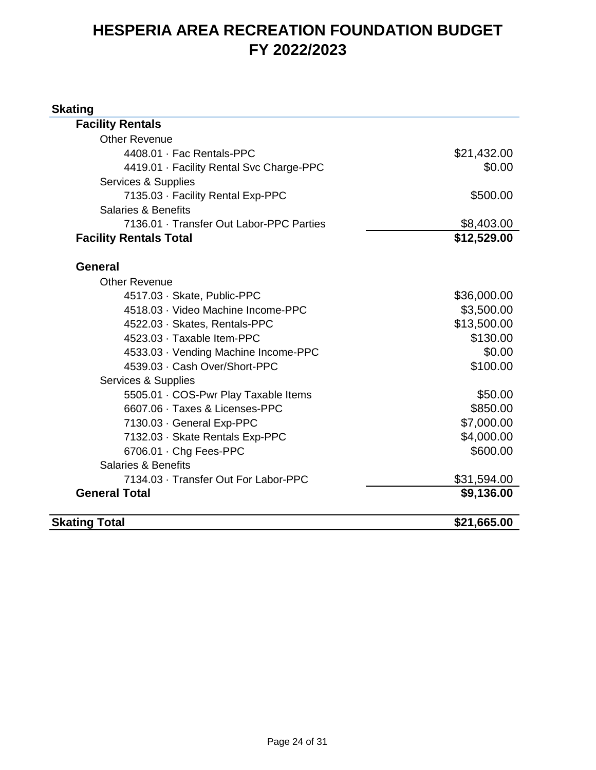#### **Skating**

| <b>Skating Total</b>                                     | \$21,665.00 |
|----------------------------------------------------------|-------------|
| <b>General Total</b>                                     | \$9,136.00  |
| 7134.03 · Transfer Out For Labor-PPC                     | \$31,594.00 |
| <b>Salaries &amp; Benefits</b>                           |             |
| 6706.01 · Chg Fees-PPC                                   | \$600.00    |
| 7132.03 · Skate Rentals Exp-PPC                          | \$4,000.00  |
| 7130.03 · General Exp-PPC                                | \$7,000.00  |
| 6607.06 · Taxes & Licenses-PPC                           | \$850.00    |
| 5505.01 · COS-Pwr Play Taxable Items                     | \$50.00     |
| Services & Supplies                                      |             |
| 4539.03 · Cash Over/Short-PPC                            | \$100.00    |
| 4533.03 · Vending Machine Income-PPC                     | \$0.00      |
| 4523.03 · Taxable Item-PPC                               | \$130.00    |
| 4522.03 · Skates, Rentals-PPC                            | \$13,500.00 |
| 4518.03 · Video Machine Income-PPC                       | \$3,500.00  |
| 4517.03 · Skate, Public-PPC                              | \$36,000.00 |
| <b>Other Revenue</b>                                     |             |
| <b>General</b>                                           |             |
|                                                          |             |
| <b>Facility Rentals Total</b>                            | \$12,529.00 |
| 7136.01 · Transfer Out Labor-PPC Parties                 | \$8,403.00  |
| 7135.03 · Facility Rental Exp-PPC<br>Salaries & Benefits | \$500.00    |
| Services & Supplies                                      |             |
| 4419.01 · Facility Rental Svc Charge-PPC                 | \$0.00      |
| 4408.01 · Fac Rentals-PPC                                | \$21,432.00 |
| <b>Other Revenue</b>                                     |             |
| <b>Facility Rentals</b>                                  |             |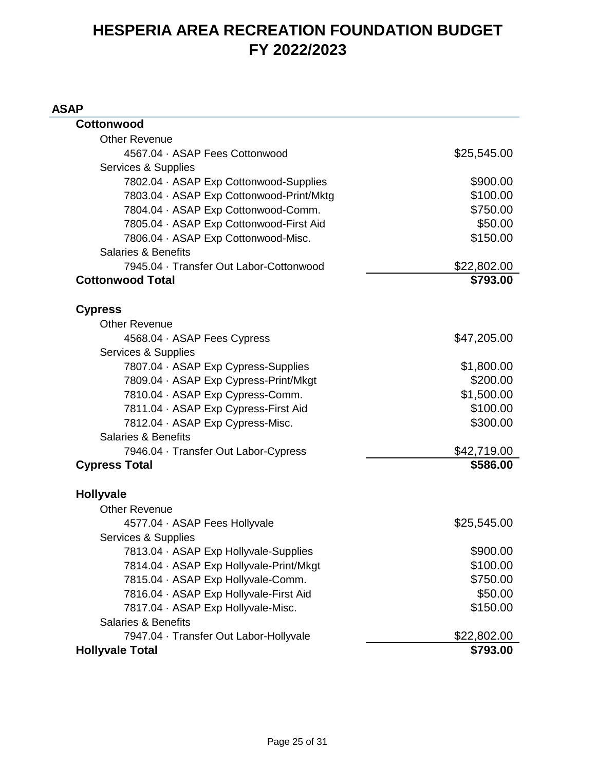#### **ASAP**

| Cottonwood                               |             |
|------------------------------------------|-------------|
| <b>Other Revenue</b>                     |             |
| 4567.04 · ASAP Fees Cottonwood           | \$25,545.00 |
| Services & Supplies                      |             |
| 7802.04 · ASAP Exp Cottonwood-Supplies   | \$900.00    |
| 7803.04 · ASAP Exp Cottonwood-Print/Mktg | \$100.00    |
| 7804.04 · ASAP Exp Cottonwood-Comm.      | \$750.00    |
| 7805.04 · ASAP Exp Cottonwood-First Aid  | \$50.00     |
| 7806.04 · ASAP Exp Cottonwood-Misc.      | \$150.00    |
| <b>Salaries &amp; Benefits</b>           |             |
| 7945.04 · Transfer Out Labor-Cottonwood  | \$22,802.00 |
| <b>Cottonwood Total</b>                  | \$793.00    |
| <b>Cypress</b>                           |             |
| <b>Other Revenue</b>                     |             |
| 4568.04 · ASAP Fees Cypress              | \$47,205.00 |
| Services & Supplies                      |             |
| 7807.04 · ASAP Exp Cypress-Supplies      | \$1,800.00  |
| 7809.04 · ASAP Exp Cypress-Print/Mkgt    | \$200.00    |
| 7810.04 · ASAP Exp Cypress-Comm.         | \$1,500.00  |
| 7811.04 · ASAP Exp Cypress-First Aid     | \$100.00    |
| 7812.04 · ASAP Exp Cypress-Misc.         | \$300.00    |
| <b>Salaries &amp; Benefits</b>           |             |
| 7946.04 · Transfer Out Labor-Cypress     | \$42,719.00 |
| <b>Cypress Total</b>                     | \$586.00    |
| <b>Hollyvale</b>                         |             |
| <b>Other Revenue</b>                     |             |
| 4577.04 · ASAP Fees Hollyvale            | \$25,545.00 |
| Services & Supplies                      |             |
| 7813.04 · ASAP Exp Hollyvale-Supplies    | \$900.00    |
| 7814.04 · ASAP Exp Hollyvale-Print/Mkgt  | \$100.00    |
| 7815.04 · ASAP Exp Hollyvale-Comm.       | \$750.00    |
| 7816.04 · ASAP Exp Hollyvale-First Aid   | \$50.00     |
| 7817.04 · ASAP Exp Hollyvale-Misc.       | \$150.00    |
| <b>Salaries &amp; Benefits</b>           |             |
| 7947.04 · Transfer Out Labor-Hollyvale   | \$22,802.00 |
| <b>Hollyvale Total</b>                   | \$793.00    |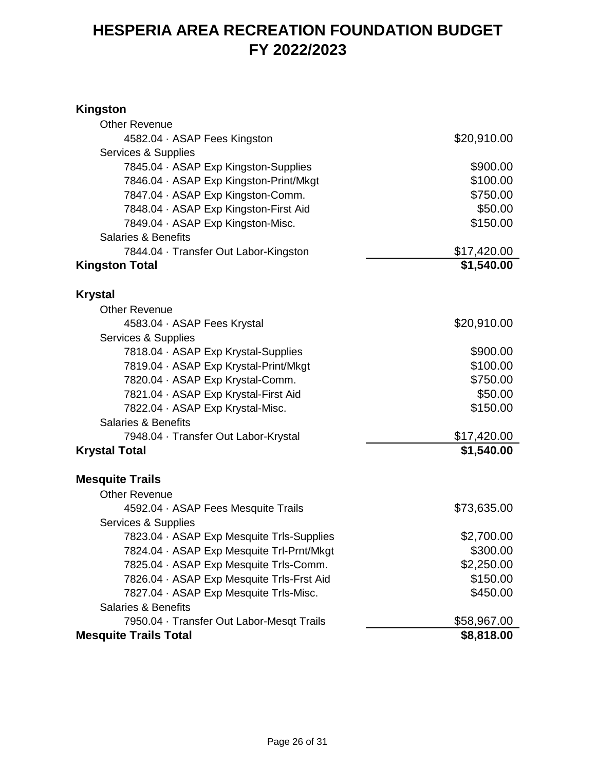#### **Kingston**

| <b>Other Revenue</b>                      |             |
|-------------------------------------------|-------------|
| 4582.04 · ASAP Fees Kingston              | \$20,910.00 |
| Services & Supplies                       |             |
| 7845.04 · ASAP Exp Kingston-Supplies      | \$900.00    |
| 7846.04 · ASAP Exp Kingston-Print/Mkgt    | \$100.00    |
| 7847.04 · ASAP Exp Kingston-Comm.         | \$750.00    |
| 7848.04 · ASAP Exp Kingston-First Aid     | \$50.00     |
| 7849.04 · ASAP Exp Kingston-Misc.         | \$150.00    |
| <b>Salaries &amp; Benefits</b>            |             |
| 7844.04 · Transfer Out Labor-Kingston     | \$17,420.00 |
| <b>Kingston Total</b>                     | \$1,540.00  |
| <b>Krystal</b>                            |             |
| <b>Other Revenue</b>                      |             |
| 4583.04 · ASAP Fees Krystal               | \$20,910.00 |
| Services & Supplies                       |             |
| 7818.04 · ASAP Exp Krystal-Supplies       | \$900.00    |
| 7819.04 · ASAP Exp Krystal-Print/Mkgt     | \$100.00    |
| 7820.04 · ASAP Exp Krystal-Comm.          | \$750.00    |
| 7821.04 · ASAP Exp Krystal-First Aid      | \$50.00     |
| 7822.04 · ASAP Exp Krystal-Misc.          | \$150.00    |
| <b>Salaries &amp; Benefits</b>            |             |
| 7948.04 · Transfer Out Labor-Krystal      | \$17,420.00 |
| <b>Krystal Total</b>                      | \$1,540.00  |
| <b>Mesquite Trails</b>                    |             |
| <b>Other Revenue</b>                      |             |
| 4592.04 · ASAP Fees Mesquite Trails       | \$73,635.00 |
| Services & Supplies                       |             |
| 7823.04 · ASAP Exp Mesquite Trls-Supplies | \$2,700.00  |
| 7824.04 · ASAP Exp Mesquite Trl-Prnt/Mkgt | \$300.00    |
| 7825.04 · ASAP Exp Mesquite Trls-Comm.    | \$2,250.00  |
| 7826.04 · ASAP Exp Mesquite Trls-Frst Aid | \$150.00    |
| 7827.04 · ASAP Exp Mesquite Trls-Misc.    | \$450.00    |
| <b>Salaries &amp; Benefits</b>            |             |
| 7950.04 · Transfer Out Labor-Mesqt Trails | \$58,967.00 |
| <b>Mesquite Trails Total</b>              | \$8,818.00  |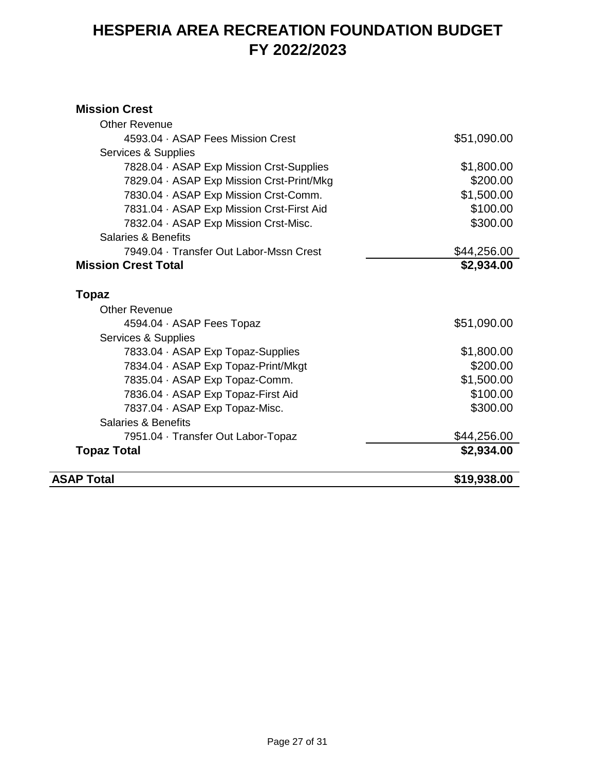#### **Mission Crest**

| <b>ASAP Total</b>                                                     | \$19,938.00 |
|-----------------------------------------------------------------------|-------------|
| <b>Topaz Total</b>                                                    | \$2,934.00  |
| 7951.04 · Transfer Out Labor-Topaz                                    | \$44,256.00 |
| <b>Salaries &amp; Benefits</b>                                        |             |
| 7837.04 · ASAP Exp Topaz-Misc.                                        | \$300.00    |
| 7836.04 · ASAP Exp Topaz-First Aid                                    | \$100.00    |
| 7835.04 · ASAP Exp Topaz-Comm.                                        | \$1,500.00  |
| 7834.04 · ASAP Exp Topaz-Print/Mkgt                                   | \$200.00    |
| 7833.04 · ASAP Exp Topaz-Supplies                                     | \$1,800.00  |
| Services & Supplies                                                   |             |
| 4594.04 · ASAP Fees Topaz                                             | \$51,090.00 |
| <b>Other Revenue</b>                                                  |             |
| <b>Topaz</b>                                                          |             |
|                                                                       | \$2,934.00  |
| 7949.04 · Transfer Out Labor-Mssn Crest<br><b>Mission Crest Total</b> | \$44,256.00 |
| Salaries & Benefits                                                   |             |
| 7832.04 · ASAP Exp Mission Crst-Misc.                                 | \$300.00    |
| 7831.04 · ASAP Exp Mission Crst-First Aid                             | \$100.00    |
| 7830.04 · ASAP Exp Mission Crst-Comm.                                 | \$1,500.00  |
| 7829.04 · ASAP Exp Mission Crst-Print/Mkg                             | \$200.00    |
| 7828.04 · ASAP Exp Mission Crst-Supplies                              | \$1,800.00  |
| Services & Supplies                                                   |             |
| 4593.04 · ASAP Fees Mission Crest                                     | \$51,090.00 |
| <b>Other Revenue</b>                                                  |             |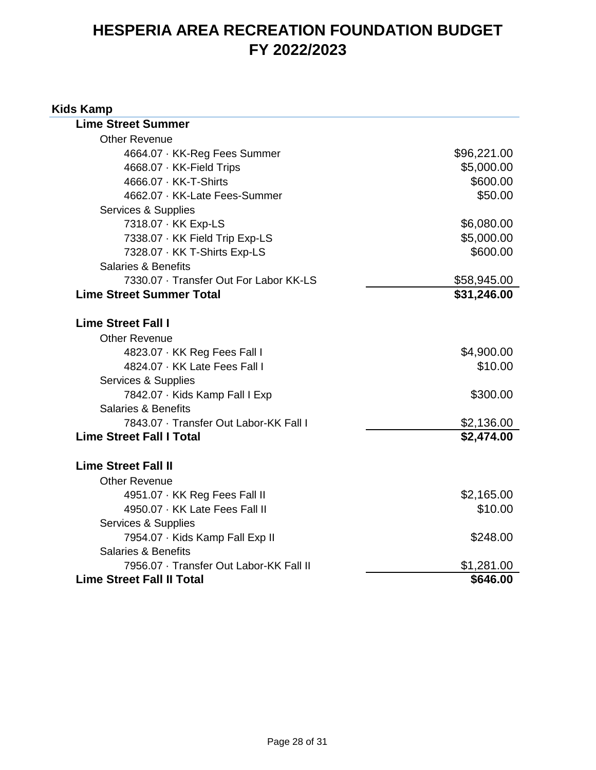#### **Kids Kamp**

| <b>Lime Street Summer</b>               |             |
|-----------------------------------------|-------------|
| <b>Other Revenue</b>                    |             |
| 4664.07 · KK-Reg Fees Summer            | \$96,221.00 |
| 4668.07 · KK-Field Trips                | \$5,000.00  |
| 4666.07 · KK-T-Shirts                   | \$600.00    |
| 4662.07 · KK-Late Fees-Summer           | \$50.00     |
| Services & Supplies                     |             |
| 7318.07 · KK Exp-LS                     | \$6,080.00  |
| 7338.07 · KK Field Trip Exp-LS          | \$5,000.00  |
| 7328.07 · KK T-Shirts Exp-LS            | \$600.00    |
| <b>Salaries &amp; Benefits</b>          |             |
| 7330.07 · Transfer Out For Labor KK-LS  | \$58,945.00 |
| <b>Lime Street Summer Total</b>         | \$31,246.00 |
|                                         |             |
| <b>Lime Street Fall I</b>               |             |
| <b>Other Revenue</b>                    |             |
| 4823.07 · KK Reg Fees Fall I            | \$4,900.00  |
| 4824.07 · KK Late Fees Fall I           | \$10.00     |
| Services & Supplies                     |             |
| 7842.07 · Kids Kamp Fall I Exp          | \$300.00    |
| <b>Salaries &amp; Benefits</b>          |             |
| 7843.07 · Transfer Out Labor-KK Fall I  | \$2,136.00  |
| <b>Lime Street Fall I Total</b>         | \$2,474.00  |
|                                         |             |
| <b>Lime Street Fall II</b>              |             |
| <b>Other Revenue</b>                    |             |
| 4951.07 · KK Reg Fees Fall II           | \$2,165.00  |
| 4950.07 · KK Late Fees Fall II          | \$10.00     |
| Services & Supplies                     |             |
| 7954.07 · Kids Kamp Fall Exp II         | \$248.00    |
| <b>Salaries &amp; Benefits</b>          |             |
| 7956.07 · Transfer Out Labor-KK Fall II | \$1,281.00  |
| <b>Lime Street Fall II Total</b>        | \$646.00    |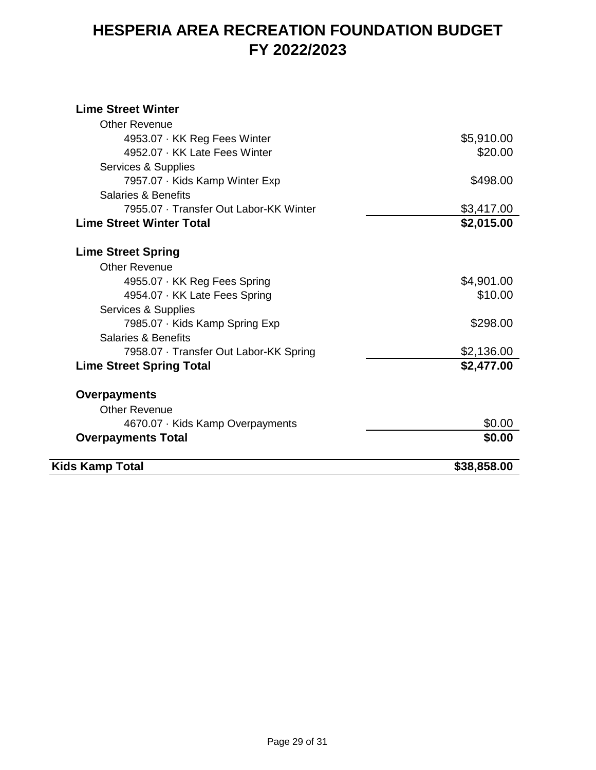#### **Lime Street Winter**

| Kids Kamp Total                        | \$38,858.00 |
|----------------------------------------|-------------|
| <b>Overpayments Total</b>              | \$0.00      |
| 4670.07 · Kids Kamp Overpayments       | \$0.00      |
| <b>Other Revenue</b>                   |             |
| <b>Overpayments</b>                    |             |
| <b>Lime Street Spring Total</b>        | \$2,477.00  |
| 7958.07 · Transfer Out Labor-KK Spring | \$2,136.00  |
| Salaries & Benefits                    |             |
| 7985.07 · Kids Kamp Spring Exp         | \$298.00    |
| Services & Supplies                    |             |
| 4954.07 · KK Late Fees Spring          | \$10.00     |
| 4955.07 · KK Reg Fees Spring           | \$4,901.00  |
| <b>Other Revenue</b>                   |             |
| <b>Lime Street Spring</b>              |             |
| <b>Lime Street Winter Total</b>        | \$2,015.00  |
| 7955.07 · Transfer Out Labor-KK Winter | \$3,417.00  |
| <b>Salaries &amp; Benefits</b>         |             |
| 7957.07 · Kids Kamp Winter Exp         | \$498.00    |
| Services & Supplies                    |             |
| 4952.07 · KK Late Fees Winter          | \$20.00     |
| 4953.07 · KK Reg Fees Winter           | \$5,910.00  |
| <b>Other Revenue</b>                   |             |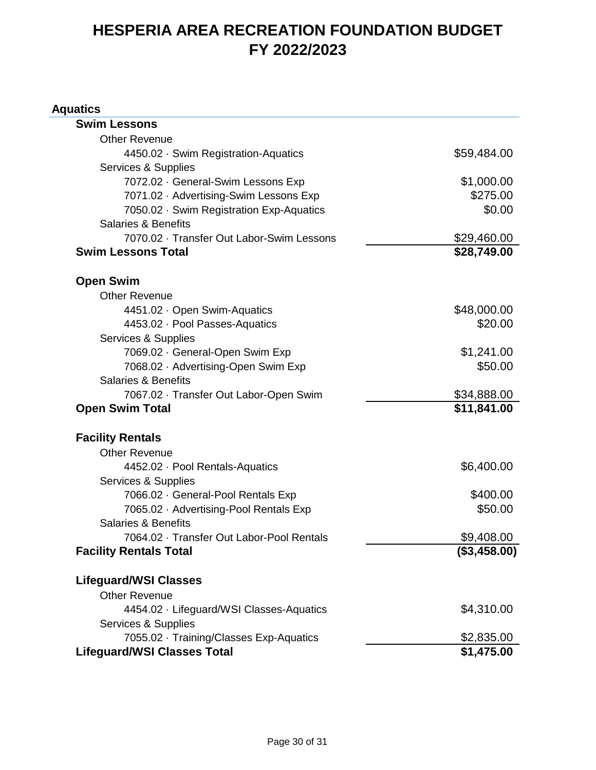#### **Aquatics**

| <b>Swim Lessons</b>                       |              |
|-------------------------------------------|--------------|
| <b>Other Revenue</b>                      |              |
| 4450.02 · Swim Registration-Aquatics      | \$59,484.00  |
| Services & Supplies                       |              |
| 7072.02 · General-Swim Lessons Exp        | \$1,000.00   |
| 7071.02 · Advertising-Swim Lessons Exp    | \$275.00     |
| 7050.02 · Swim Registration Exp-Aquatics  | \$0.00       |
| <b>Salaries &amp; Benefits</b>            |              |
| 7070.02 · Transfer Out Labor-Swim Lessons | \$29,460.00  |
| <b>Swim Lessons Total</b>                 | \$28,749.00  |
| <b>Open Swim</b>                          |              |
| <b>Other Revenue</b>                      |              |
| 4451.02 · Open Swim-Aquatics              | \$48,000.00  |
| 4453.02 · Pool Passes-Aquatics            | \$20.00      |
| Services & Supplies                       |              |
| 7069.02 · General-Open Swim Exp           | \$1,241.00   |
| 7068.02 · Advertising-Open Swim Exp       | \$50.00      |
| <b>Salaries &amp; Benefits</b>            |              |
| 7067.02 · Transfer Out Labor-Open Swim    | \$34,888.00  |
| <b>Open Swim Total</b>                    | \$11,841.00  |
| <b>Facility Rentals</b>                   |              |
| <b>Other Revenue</b>                      |              |
| 4452.02 · Pool Rentals-Aquatics           | \$6,400.00   |
| Services & Supplies                       |              |
| 7066.02 · General-Pool Rentals Exp        | \$400.00     |
| 7065.02 · Advertising-Pool Rentals Exp    | \$50.00      |
| Salaries & Benefits                       |              |
| 7064.02 · Transfer Out Labor-Pool Rentals | \$9,408.00   |
| <b>Facility Rentals Total</b>             | (\$3,458.00) |
| <b>Lifeguard/WSI Classes</b>              |              |
| <b>Other Revenue</b>                      |              |
| 4454.02 · Lifeguard/WSI Classes-Aquatics  | \$4,310.00   |
| Services & Supplies                       |              |
| 7055.02 · Training/Classes Exp-Aquatics   | \$2,835.00   |
| <b>Lifeguard/WSI Classes Total</b>        | \$1,475.00   |